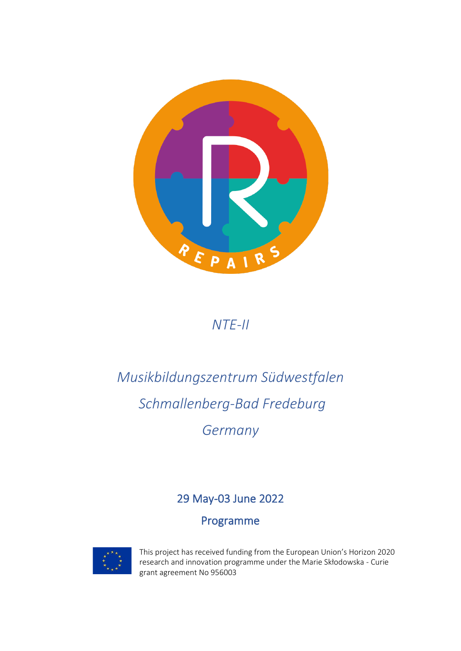

#### *NTE-II*

# *Musikbildungszentrum Südwestfalen [Schmallenberg-Bad Fredeburg](https://www.google.com/maps/place/Claremont+Ave,+Los+Angeles,+CA+90027,+USA/@34.1037916,-118.2764642,17z/data=!4m13!1m7!3m6!1s0x80c2c0caf584c37b:0xe657e6a58db7575e!2sClaremont+Ave,+Los+Angeles,+CA+90027,+USA!3b1!8m2!3d34.1037872!4d-118.2742755!3m4!1s0x80c2c0caf584c37b:0xe657e6a58db7575e!8m2!3d34.1037872!4d-118.2742755) Germany*

#### 29 May-03 June 2022

#### Programme



This project has received funding from the European Union's Horizon 2020 research and innovation programme under the Marie Skłodowska - Curie grant agreement No 956003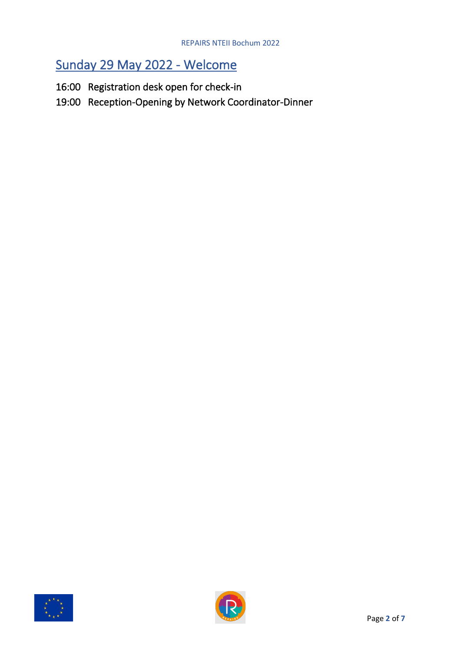#### Sunday 29 May 2022 - Welcome

- 16:00 Registration desk open for check-in
- 19:00 Reception-Opening by Network Coordinator-Dinner



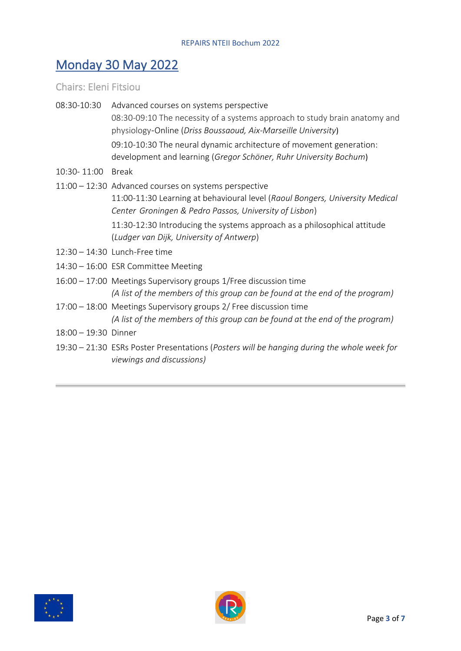### Monday 30 May 2022

Chairs: Eleni Fitsiou

- 08:30-10:30 Advanced courses on systems perspective 08:30-09:10 The necessity of a systems approach to study brain anatomy and physiology-Online (*Driss Boussaoud, Aix-Marseille University*) 09:10-10:30 The neural dynamic architecture of movement generation: development and learning (*Gregor Schöner, Ruhr University Bochum*) 10:30- 11:00 Break
- 11:00 12:30 Advanced courses on systems perspective 11:00-11:30 Learning at behavioural level (*Raoul Bongers, University Medical Center Groningen & Pedro Passos, University of Lisbon*) 11:30-12:30 Introducing the systems approach as a philosophical attitude (*Ludger van Dijk, University of Antwerp*)
- 12:30 14:30 Lunch-Free time
- 14:30 16:00 ESR Committee Meeting
- 16:00 17:00 Meetings Supervisory groups 1/Free discussion time *(A list of the members of this group can be found at the end of the program)*
- 17:00 18:00 Meetings Supervisory groups 2/ Free discussion time *(A list of the members of this group can be found at the end of the program)*
- 18:00 19:30 Dinner
- 19:30 21:30 ESRs Poster Presentations (*Posters will be hanging during the whole week for viewings and discussions)*



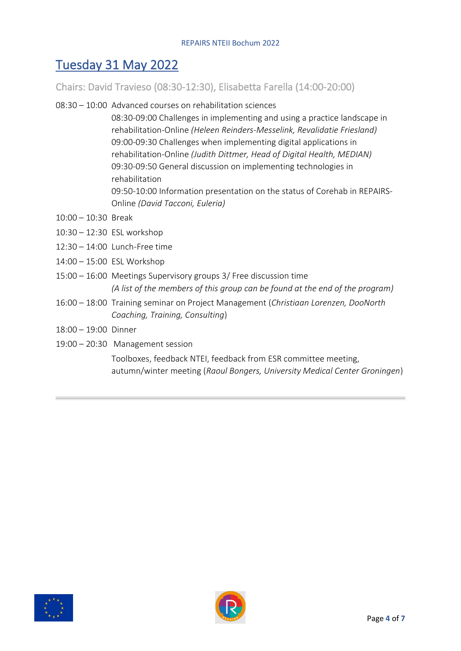### Tuesday 31 May 2022

Chairs: David Travieso (08:30-12:30), Elisabetta Farella (14:00-20:00)

08:30 – 10:00 Advanced courses on rehabilitation sciences

08:30-09:00 Challenges in implementing and using a practice landscape in rehabilitation-Online *(Heleen Reinders-Messelink, Revalidatie Friesland)* 09:00-09:30 Challenges when implementing digital applications in rehabilitation-Online *(Judith Dittmer, Head of Digital Health, MEDIAN)* 09:30-09:50 General discussion on implementing technologies in rehabilitation 09:50-10:00 Information presentation on the status of Corehab in REPAIRS-Online *(David Tacconi, Euleria)*

- 10:00 10:30 Break
- 10:30 12:30 ESL workshop
- 12:30 14:00 Lunch-Free time
- 14:00 15:00 ESL Workshop
- 15:00 16:00 Meetings Supervisory groups 3/ Free discussion time *(A list of the members of this group can be found at the end of the program)*
- 16:00 18:00 Training seminar on Project Management (*Christiaan Lorenzen, DooNorth Coaching, Training, Consulting*)
- 18:00 19:00 Dinner
- 19:00 20:30 Management session

Toolboxes, feedback NTEI, feedback from ESR committee meeting, autumn/winter meeting (*Raoul Bongers, University Medical Center Groningen*)



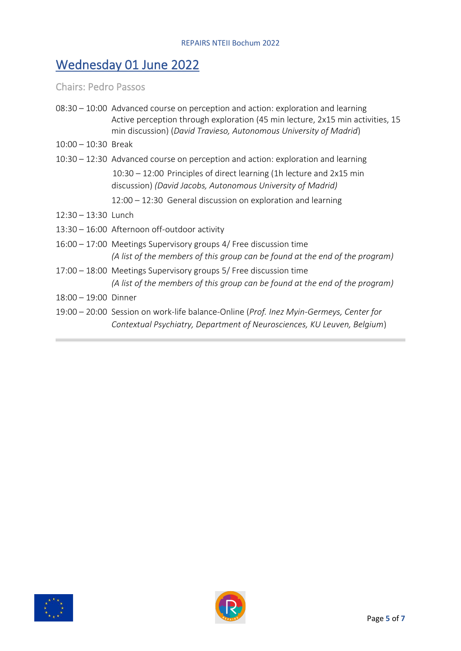## Wednesday 01 June 2022

Chairs: Pedro Passos

|                        | 08:30 – 10:00 Advanced course on perception and action: exploration and learning<br>Active perception through exploration (45 min lecture, 2x15 min activities, 15<br>min discussion) (David Travieso, Autonomous University of Madrid) |
|------------------------|-----------------------------------------------------------------------------------------------------------------------------------------------------------------------------------------------------------------------------------------|
| $10:00 - 10:30$ Break  |                                                                                                                                                                                                                                         |
|                        | 10:30 – 12:30 Advanced course on perception and action: exploration and learning                                                                                                                                                        |
|                        | $10:30 - 12:00$ Principles of direct learning (1h lecture and 2x15 min<br>discussion) (David Jacobs, Autonomous University of Madrid)                                                                                                   |
|                        | $12:00 - 12:30$ General discussion on exploration and learning                                                                                                                                                                          |
| $12:30 - 13:30$ Lunch  |                                                                                                                                                                                                                                         |
|                        | 13:30 - 16:00 Afternoon off-outdoor activity                                                                                                                                                                                            |
|                        | 16:00 – 17:00 Meetings Supervisory groups 4/ Free discussion time<br>(A list of the members of this group can be found at the end of the program)                                                                                       |
|                        | 17:00 – 18:00 Meetings Supervisory groups 5/ Free discussion time<br>(A list of the members of this group can be found at the end of the program)                                                                                       |
| $18:00 - 19:00$ Dinner |                                                                                                                                                                                                                                         |
|                        | 19:00 – 20:00 Session on work-life balance-Online (Prof. Inez Myin-Germeys, Center for<br>Contextual Psychiatry, Department of Neurosciences, KU Leuven, Belgium)                                                                       |



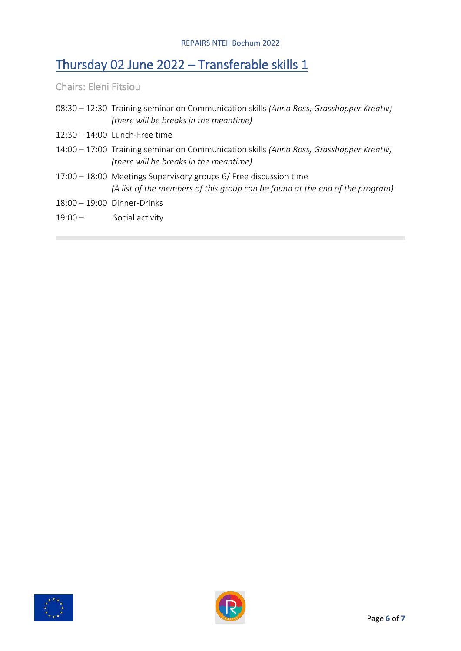#### Thursday 02 June 2022 – Transferable skills 1

Chairs: Eleni Fitsiou

- 08:30 12:30 Training seminar on Communication skills *(Anna Ross, Grasshopper Kreativ) (there will be breaks in the meantime)*
- 12:30 14:00 Lunch-Free time
- 14:00 17:00 Training seminar on Communication skills *(Anna Ross, Grasshopper Kreativ) (there will be breaks in the meantime)*
- 17:00 18:00 Meetings Supervisory groups 6/ Free discussion time *(A list of the members of this group can be found at the end of the program)*
- 18:00 19:00 Dinner-Drinks
- 19:00 Social activity